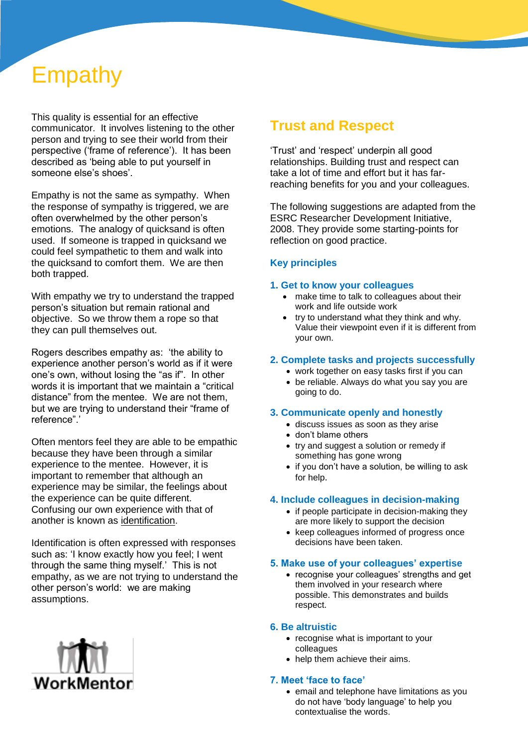# Empathy

This quality is essential for an effective communicator. It involves listening to the other person and trying to see their world from their perspective ('frame of reference'). It has been described as 'being able to put yourself in someone else's shoes'.

Empathy is not the same as sympathy. When the response of sympathy is triggered, we are often overwhelmed by the other person's emotions. The analogy of quicksand is often used. If someone is trapped in quicksand we could feel sympathetic to them and walk into the quicksand to comfort them. We are then both trapped.

With empathy we try to understand the trapped person's situation but remain rational and objective. So we throw them a rope so that they can pull themselves out.

Rogers describes empathy as: 'the ability to experience another person's world as if it were one's own, without losing the "as if". In other words it is important that we maintain a "critical distance" from the mentee. We are not them, but we are trying to understand their "frame of reference".'

Often mentors feel they are able to be empathic because they have been through a similar experience to the mentee. However, it is important to remember that although an experience may be similar, the feelings about the experience can be quite different. Confusing our own experience with that of another is known as identification.

Identification is often expressed with responses such as: 'I know exactly how you feel; I went through the same thing myself.' This is not empathy, as we are not trying to understand the other person's world: we are making assumptions.



### **Trust and Respect**

'Trust' and 'respect' underpin all good relationships. Building trust and respect can take a lot of time and effort but it has farreaching benefits for you and your colleagues.

The following suggestions are adapted from the [ESRC Researcher Development Initiative,](http://www.rdi.ac.uk/) 2008. They provide some starting-points for reflection on good practice.

#### **Key principles**

#### **1. Get to know your colleagues**

- make time to talk to colleagues about their work and life outside work
- try to understand what they think and why. Value their viewpoint even if it is [different from](http://www.vitae.ac.uk/researchers/1292/Working-styles.html)  [your own.](http://www.vitae.ac.uk/researchers/1292/Working-styles.html)

#### **2. Complete tasks and projects successfully**

- work together on easy tasks first if you can
- be reliable. Always do what you say you are going to do.

#### **3. Communicate openly and honestly**

- discuss issues as soon as they arise
- don't blame others
- try and suggest a solution or remedy if something has gone wrong
- if you don't have a solution, be willing to ask for help.

#### **4. Include colleagues in decision-making**

- if people participate in decision-making they are more likely to support the decision
- keep colleagues informed of progress once decisions have been taken.

#### **5. Make use of your colleagues' expertise**

• recognise your colleagues' strengths and get them involved in your research where possible. This demonstrates and builds respect.

#### **6. Be altruistic**

- recognise what is important to your colleagues
- help them achieve their aims.

#### **7. Meet 'face to face'**

• email and telephone have limitations as you do not have 'body language' to help you contextualise the words.